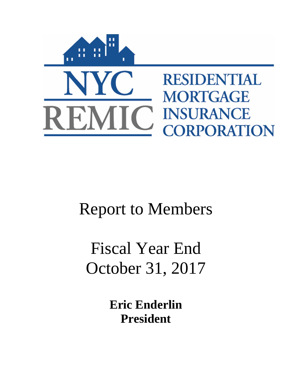

# Report to Members

# Fiscal Year End October 31, 2017

**Eric Enderlin President**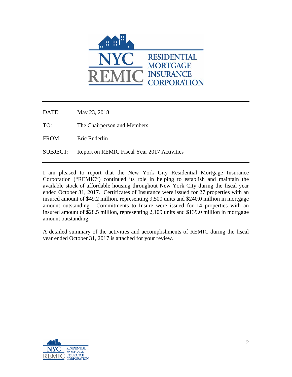

DATE: May 23, 2018

TO: The Chairperson and Members

FROM: Eric Enderlin

SUBJECT: Report on REMIC Fiscal Year 2017 Activities

I am pleased to report that the New York City Residential Mortgage Insurance Corporation ("REMIC") continued its role in helping to establish and maintain the available stock of affordable housing throughout New York City during the fiscal year ended October 31, 2017. Certificates of Insurance were issued for 27 properties with an insured amount of \$49.2 million, representing 9,500 units and \$240.0 million in mortgage amount outstanding. Commitments to Insure were issued for 14 properties with an insured amount of \$28.5 million, representing 2,109 units and \$139.0 million in mortgage amount outstanding.

A detailed summary of the activities and accomplishments of REMIC during the fiscal year ended October 31, 2017 is attached for your review.

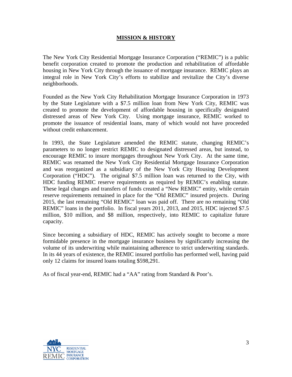# **MISSION & HISTORY**

The New York City Residential Mortgage Insurance Corporation ("REMIC") is a public benefit corporation created to promote the production and rehabilitation of affordable housing in New York City through the issuance of mortgage insurance. REMIC plays an integral role in New York City's efforts to stabilize and revitalize the City's diverse neighborhoods.

Founded as the New York City Rehabilitation Mortgage Insurance Corporation in 1973 by the State Legislature with a \$7.5 million loan from New York City, REMIC was created to promote the development of affordable housing in specifically designated distressed areas of New York City. Using mortgage insurance, REMIC worked to promote the issuance of residential loans, many of which would not have proceeded without credit enhancement.

In 1993, the State Legislature amended the REMIC statute, changing REMIC's parameters to no longer restrict REMIC to designated distressed areas, but instead, to encourage REMIC to insure mortgages throughout New York City. At the same time, REMIC was renamed the New York City Residential Mortgage Insurance Corporation and was reorganized as a subsidiary of the New York City Housing Development Corporation ("HDC"). The original \$7.5 million loan was returned to the City, with HDC funding REMIC reserve requirements as required by REMIC's enabling statute. These legal changes and transfers of funds created a "New REMIC" entity, while certain reserve requirements remained in place for the "Old REMIC" insured projects. During 2015, the last remaining "Old REMIC" loan was paid off. There are no remaining "Old REMIC" loans in the portfolio. In fiscal years 2011, 2013, and 2015, HDC injected \$7.5 million, \$10 million, and \$8 million, respectively, into REMIC to capitalize future capacity.

Since becoming a subsidiary of HDC, REMIC has actively sought to become a more formidable presence in the mortgage insurance business by significantly increasing the volume of its underwriting while maintaining adherence to strict underwriting standards. In its 44 years of existence, the REMIC insured portfolio has performed well, having paid only 12 claims for insured loans totaling \$598,291.

As of fiscal year-end, REMIC had a "AA" rating from Standard & Poor's.

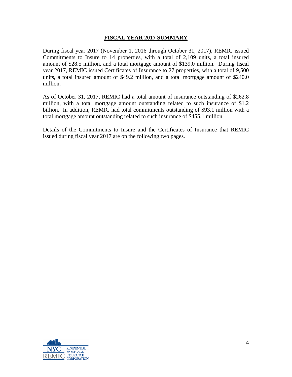## **FISCAL YEAR 2017 SUMMARY**

During fiscal year 2017 (November 1, 2016 through October 31, 2017), REMIC issued Commitments to Insure to 14 properties, with a total of 2,109 units, a total insured amount of \$28.5 million, and a total mortgage amount of \$139.0 million. During fiscal year 2017, REMIC issued Certificates of Insurance to 27 properties, with a total of 9,500 units, a total insured amount of \$49.2 million, and a total mortgage amount of \$240.0 million.

As of October 31, 2017, REMIC had a total amount of insurance outstanding of \$262.8 million, with a total mortgage amount outstanding related to such insurance of \$1.2 billion. In addition, REMIC had total commitments outstanding of \$93.1 million with a total mortgage amount outstanding related to such insurance of \$455.1 million.

Details of the Commitments to Insure and the Certificates of Insurance that REMIC issued during fiscal year 2017 are on the following two pages.

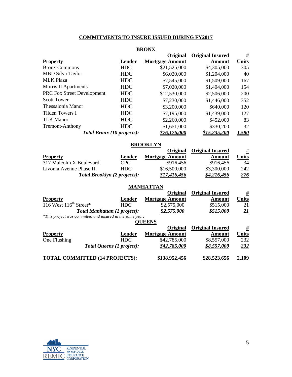# **COMMITMENTS TO INSURE ISSUED DURING FY2017**

| <b>BRONX</b>                      |            |                        |                         |              |  |
|-----------------------------------|------------|------------------------|-------------------------|--------------|--|
|                                   |            | Original               | <b>Original Insured</b> | #            |  |
| <b>Property</b>                   | Lender     | <b>Mortgage Amount</b> | Amount                  | <b>Units</b> |  |
| <b>Bronx Commons</b>              | <b>HDC</b> | \$21,525,000           | \$4,305,000             | 305          |  |
| <b>MBD Silva Taylor</b>           | <b>HDC</b> | \$6,020,000            | \$1,204,000             | 40           |  |
| <b>MLK Plaza</b>                  | <b>HDC</b> | \$7,545,000            | \$1,509,000             | 167          |  |
| Morris II Apartments              | <b>HDC</b> | \$7,020,000            | \$1,404,000             | 154          |  |
| <b>PRC Fox Street Development</b> | <b>HDC</b> | \$12,530,000           | \$2,506,000             | <b>200</b>   |  |
| <b>Scott Tower</b>                | <b>HDC</b> | \$7,230,000            | \$1,446,000             | 352          |  |
| Thessalonia Manor                 | <b>HDC</b> | \$3,200,000            | \$640,000               | 120          |  |
| Tilden Towers I                   | <b>HDC</b> | \$7,195,000            | \$1,439,000             | 127          |  |
| <b>TLK Manor</b>                  | <b>HDC</b> | \$2,260,000            | \$452,000               | 83           |  |
| <b>Tremont-Anthony</b>            | <b>HDC</b> | \$1,651,000            | \$330,200               | 32           |  |
| Total Bronx (10 projects):        |            | \$76.176.000           | <u>\$15.235.200</u>     | 1.580        |  |

### **BROOKLYN**

|                         |                                     | <b>Original</b>        | <b>Original Insured</b> | <u>#</u>   |
|-------------------------|-------------------------------------|------------------------|-------------------------|------------|
| <b>Property</b>         | Lender                              | <b>Mortgage Amount</b> | Amount                  | Units      |
| 317 Malcolm X Boulevard | CPC <sup>1</sup>                    | \$916.456              | \$916,456               | 34         |
| Livonia Avenue Phase II | HDC.                                | \$16,500,000           | \$3,300,000             | 242        |
|                         | <b>Total Brooklyn (2 projects):</b> | \$17.416.456           | \$4.216.456             | <u>276</u> |

# **MANHATTAN**

|                                    |                                                           | Original               | <b>Original Insured</b> | <u>#</u>                 |
|------------------------------------|-----------------------------------------------------------|------------------------|-------------------------|--------------------------|
| <b>Property</b>                    | Lender                                                    | <b>Mortgage Amount</b> | Amount                  | <b>Units</b>             |
| 116 West $116^{\text{th}}$ Street* | <b>HDC</b>                                                | \$2,575,000            | \$515,000               | 21                       |
|                                    | <b>Total Manhattan (1 project):</b>                       | \$2,575,000            | \$515,000               | $\overline{\mathbf{21}}$ |
|                                    | *This project was committed and insured in the same year. |                        |                         |                          |
|                                    |                                                           | <b>OUEENS</b>          |                         |                          |
|                                    |                                                           | Original               | <b>Original Insured</b> | #                        |
| <b>Property</b>                    | Lender                                                    | <b>Mortgage Amount</b> | Amount                  | <b>Units</b>             |
| One Flushing                       | <b>HDC</b>                                                | \$42,785,000           | \$8,557,000             | 232                      |
|                                    | Total Queens (1 project):                                 | \$42,785,000           | \$8.557.000             | <u>232</u>               |
|                                    |                                                           |                        |                         |                          |
|                                    | <b>TOTAL COMMITTED (14 PROJECTS):</b>                     | \$138,952,456          | \$28,523,656            | 2,109                    |

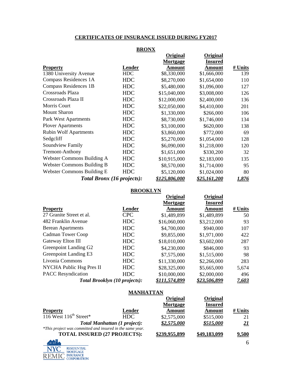# **CERTIFICATES OF INSURANCE ISSUED DURING FY2017**

|                                   | <b>BRONX</b> |                      |                          |         |
|-----------------------------------|--------------|----------------------|--------------------------|---------|
|                                   |              | Original             | Original                 |         |
| <b>Property</b>                   | Lender       | Mortgage<br>Amount   | <b>Insured</b><br>Amount | # Units |
| 1380 University Avenue            | <b>HDC</b>   | \$8,330,000          | \$1,666,000              | 139     |
| Compass Residences 1A             | <b>HDC</b>   | \$8,270,000          | \$1,654,000              | 110     |
| <b>Compass Residences 1B</b>      | <b>HDC</b>   | \$5,480,000          | \$1,096,000              | 127     |
| Crossroads Plaza                  | <b>HDC</b>   | \$15,040,000         | \$3,008,000              | 126     |
| Crossroads Plaza II               | <b>HDC</b>   | \$12,000,000         | \$2,400,000              | 136     |
| Morris Court                      | <b>HDC</b>   | \$22,050,000         | \$4,410,000              | 201     |
| <b>Mount Sharon</b>               | <b>HDC</b>   | \$1,330,000          | \$266,000                | 106     |
| Park West Apartments              | <b>HDC</b>   | \$8,730,000          | \$1,746,000              | 134     |
| <b>Plover Apartments</b>          | <b>HDC</b>   | \$3,100,000          | \$620,000                | 138     |
| <b>Rubin Wolf Apartments</b>      | <b>HDC</b>   | \$3,860,000          | \$772,000                | 69      |
| Sedgeliff                         | <b>HDC</b>   | \$5,270,000          | \$1,054,000              | 128     |
| Soundview Family                  | <b>HDC</b>   | \$6,090,000          | \$1,218,000              | 120     |
| <b>Tremont-Anthony</b>            | <b>HDC</b>   | \$1,651,000          | \$330,200                | 32      |
| Webster Commons Building A        | <b>HDC</b>   | \$10,915,000         | \$2,183,000              | 135     |
| <b>Webster Commons Building B</b> | <b>HDC</b>   | \$8,570,000          | \$1,714,000              | 95      |
| Webster Commons Building E        | <b>HDC</b>   | \$5,120,000          | \$1,024,000              | 80      |
| Total Bronx (16 projects):        |              | <u>\$125,806,000</u> | <u>\$25,161,200</u>      | 1,876   |

#### **BROOKLYN**

|                                      |            | <b>Original</b> | <b>Original</b>     |              |
|--------------------------------------|------------|-----------------|---------------------|--------------|
|                                      |            | Mortgage        | <b>Insured</b>      |              |
| <b>Property</b>                      | Lender     | Amount          | Amount              | # Units      |
| 27 Granite Street et al.             | <b>CPC</b> | \$1,489,899     | \$1,489,899         | 50           |
| 482 Franklin Avenue                  | <b>HDC</b> | \$16,060,000    | \$3,212,000         | 93           |
| <b>Berean Apartments</b>             | <b>HDC</b> | \$4,700,000     | \$940,000           | 107          |
| <b>Cadman Tower Coop</b>             | <b>HDC</b> | \$9,855,000     | \$1,971,000         | 422          |
| Gateway Elton III                    | <b>HDC</b> | \$18,010,000    | \$3,602,000         | 287          |
| Greenpoint Landing G2                | <b>HDC</b> | \$4,230,000     | \$846,000           | 93           |
| Greenpoint Landing E3                | <b>HDC</b> | \$7,575,000     | \$1,515,000         | 98           |
| Livonia Commons                      | <b>HDC</b> | \$11,330,000    | \$2,266,000         | 283          |
| NYCHA Public Hsg Pres II             | <b>HDC</b> | \$28,325,000    | \$5,665,000         | 5,674        |
| <b>PACC</b> Resyndication            | <b>HDC</b> | \$10,000,000    | \$2,000,000         | 496          |
| <b>Total Brooklyn (10 projects):</b> |            | \$111,574,899   | <u>\$23.506.899</u> | <u>7,603</u> |

# **MANHATTAN**

|                                                           |                                     | <b>Original</b> | Original       |            |
|-----------------------------------------------------------|-------------------------------------|-----------------|----------------|------------|
|                                                           |                                     | Mortgage        | <b>Insured</b> |            |
| <b>Property</b>                                           | Lender                              | Amount          | Amount         | # Units    |
| 116 West $116^{\text{th}}$ Street*                        | HDC.                                | \$2,575,000     | \$515,000      | 21         |
|                                                           | <b>Total Manhattan (1 project):</b> | \$2,575,000     | \$515.000      | <u> 21</u> |
| *This project was committed and insured in the same year. |                                     |                 |                |            |
| <b>TOTAL INSURED (27 PROJECTS):</b>                       |                                     | \$239,955,899   | \$49,183,099   | 9,500      |
|                                                           |                                     |                 |                |            |

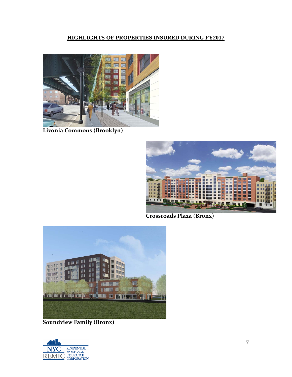# **HIGHLIGHTS OF PROPERTIES INSURED DURING FY2017**



**Livonia Commons (Brooklyn)**



**Crossroads Plaza (Bronx)**



**Soundview Family (Bronx)**

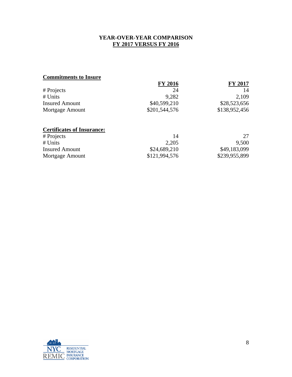# **YEAR-OVER-YEAR COMPARISON FY 2017 VERSUS FY 2016**

# **Commitments to Insure**

|                       | <b>FY 2016</b> | <b>FY 2017</b> |
|-----------------------|----------------|----------------|
| # Projects            | 24             | 14             |
| # Units               | 9.282          | 2,109          |
| <b>Insured Amount</b> | \$40,599,210   | \$28,523,656   |
| Mortgage Amount       | \$201,544,576  | \$138,952,456  |
|                       |                |                |

# **Certificates of Insurance:**

| # Projects            | 14            |               |
|-----------------------|---------------|---------------|
| # Units               | 2,205         | 9,500         |
| <b>Insured Amount</b> | \$24,689,210  | \$49,183,099  |
| Mortgage Amount       | \$121,994,576 | \$239,955,899 |

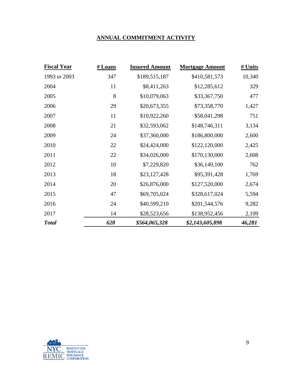# **ANNUAL COMMITMENT ACTIVITY**

| <b>Fiscal Year</b> | # Loans | <b>Insured Amount</b> | <b>Mortgage Amount</b> | # Units |
|--------------------|---------|-----------------------|------------------------|---------|
| 1993 to 2003       | 347     | \$189,515,187         | \$410,581,573          | 10,340  |
| 2004               | 11      | \$8,411,263           | \$12,285,612           | 329     |
| 2005               | 8       | \$10,079,063          | \$33,367,750           | 477     |
| 2006               | 29      | \$20,673,355          | \$73,358,770           | 1,427   |
| 2007               | 11      | \$10,922,260          | \$58,041,298           | 751     |
| 2008               | 21      | \$32,593,062          | \$148,746,311          | 3,134   |
| 2009               | 24      | \$37,360,000          | \$186,800,000          | 2,600   |
| 2010               | 22      | \$24,424,000          | \$122,120,000          | 2,425   |
| 2011               | 22      | \$34,026,000          | \$170,130,000          | 2,608   |
| 2012               | 10      | \$7,229,820           | \$36,149,100           | 762     |
| 2013               | 18      | \$23,127,428          | \$95,391,428           | 1,769   |
| 2014               | 20      | \$26,876,000          | \$127,520,000          | 2,674   |
| 2015               | 47      | \$69,705,024          | \$328,617,024          | 5,594   |
| 2016               | 24      | \$40,599,210          | \$201,544,576          | 9,282   |
| 2017               | 14      | \$28,523,656          | \$138,952,456          | 2,109   |
| <b>Total</b>       | 628     | \$564,065,328         | \$2,143,605,898        | 46,281  |

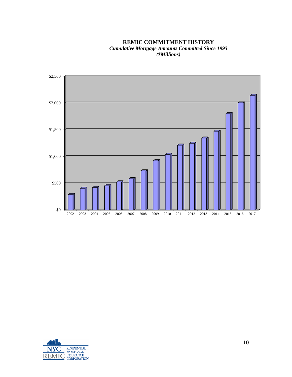**REMIC COMMITMENT HISTORY** *Cumulative Mortgage Amounts Committed Since 1993 (\$Millions)*



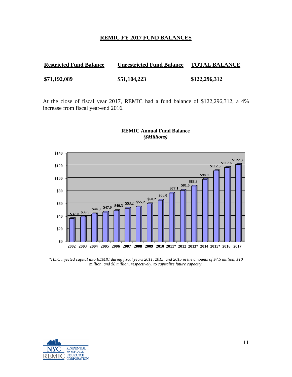#### **REMIC FY 2017 FUND BALANCES**

| <b>Restricted Fund Balance</b> | <b>Unrestricted Fund Balance</b> | <b>TOTAL BALANCE</b> |
|--------------------------------|----------------------------------|----------------------|
| \$71,192,089                   | \$51,104,223                     | \$122,296,312        |

At the close of fiscal year 2017, REMIC had a fund balance of \$122,296,312, a 4% increase from fiscal year-end 2016.



#### **REMIC Annual Fund Balance** *(\$Millions)*

*\*HDC injected capital into REMIC during fiscal years 2011, 2013, and 2015 in the amounts of \$7.5 million, \$10 million, and \$8 million, respectively, to capitalize future capacity.* 

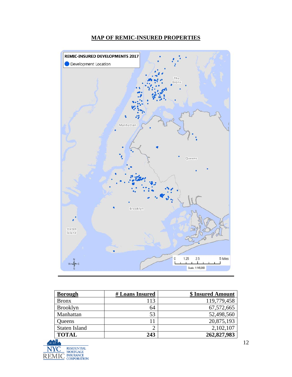

# **MAP OF REMIC-INSURED PROPERTIES**

| <b>Borough</b>       | # Loans Insured | \$ Insured Amount |
|----------------------|-----------------|-------------------|
| <b>Bronx</b>         | 113             | 119,779,458       |
| <b>Brooklyn</b>      | 64              | 67,572,665        |
| Manhattan            | 53              | 52,498,560        |
| Queens               |                 | 20,875,193        |
| <b>Staten Island</b> | ⌒               | 2,102,107         |
| <b>TOTAL</b>         | 243             | 262,827,983       |
| $\sim$ $\sim$        |                 |                   |

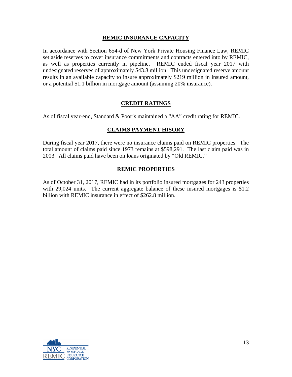## **REMIC INSURANCE CAPACITY**

In accordance with Section 654-d of New York Private Housing Finance Law, REMIC set aside reserves to cover insurance commitments and contracts entered into by REMIC, as well as properties currently in pipeline. REMIC ended fiscal year 2017 with undesignated reserves of approximately \$43.8 million. This undesignated reserve amount results in an available capacity to insure approximately \$219 million in insured amount, or a potential \$1.1 billion in mortgage amount (assuming 20% insurance).

# **CREDIT RATINGS**

As of fiscal year-end, Standard & Poor's maintained a "AA" credit rating for REMIC.

# **CLAIMS PAYMENT HISORY**

During fiscal year 2017, there were no insurance claims paid on REMIC properties. The total amount of claims paid since 1973 remains at \$598,291. The last claim paid was in 2003. All claims paid have been on loans originated by "Old REMIC."

## **REMIC PROPERTIES**

As of October 31, 2017, REMIC had in its portfolio insured mortgages for 243 properties with 29,024 units. The current aggregate balance of these insured mortgages is \$1.2 billion with REMIC insurance in effect of \$262.8 million.

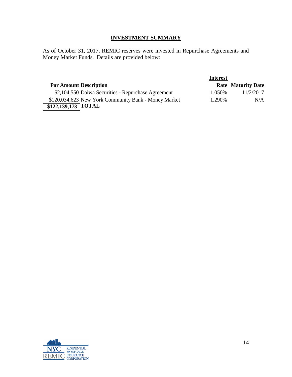# **INVESTMENT SUMMARY**

As of October 31, 2017, REMIC reserves were invested in Repurchase Agreements and Money Market Funds. Details are provided below:

|                                                      | <b>Interest</b> |                           |
|------------------------------------------------------|-----------------|---------------------------|
| <b>Par Amount Description</b>                        |                 | <b>Rate Maturity Date</b> |
| \$2,104,550 Daiwa Securities - Repurchase Agreement  | 1.050\%         | 11/2/2017                 |
| \$120,034,623 New York Community Bank - Money Market | 1.290\%         | N/A                       |
| $$122,\overline{139,173}$ TOTAL                      |                 |                           |

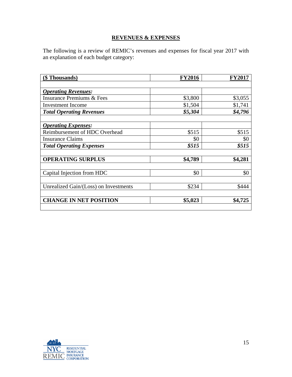# **REVENUES & EXPENSES**

The following is a review of REMIC's revenues and expenses for fiscal year 2017 with an explanation of each budget category:

| (\$ Thousands)                        | <b>FY2016</b> | <b>FY2017</b> |
|---------------------------------------|---------------|---------------|
|                                       |               |               |
| <b>Operating Revenues:</b>            |               |               |
| <b>Insurance Premiums &amp; Fees</b>  | \$3,800       | \$3,055       |
| <b>Investment Income</b>              | \$1,504       | \$1,741       |
| <b>Total Operating Revenues</b>       | \$5,304       | \$4,796       |
|                                       |               |               |
| <b>Operating Expenses:</b>            |               |               |
| Reimbursement of HDC Overhead         | \$515         | \$515         |
| <b>Insurance Claims</b>               | \$0           | \$0           |
| <b>Total Operating Expenses</b>       | \$515         | \$515         |
|                                       |               |               |
| <b>OPERATING SURPLUS</b>              | \$4,789       | \$4,281       |
|                                       |               |               |
| Capital Injection from HDC            | \$0           | \$0           |
|                                       |               |               |
| Unrealized Gain/(Loss) on Investments | \$234         | \$444         |
|                                       |               |               |
| <b>CHANGE IN NET POSITION</b>         | \$5,023       | \$4,725       |
|                                       |               |               |